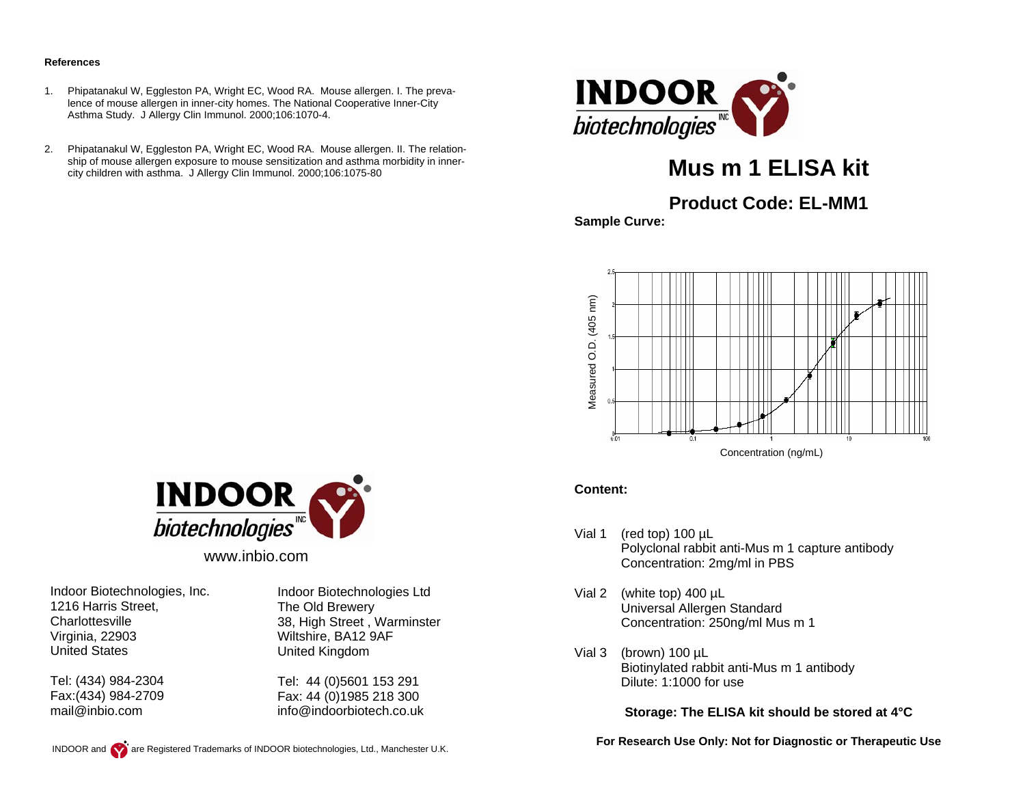#### **References**

- 1. Phipatanakul W, Eggleston PA, Wright EC, Wood RA. Mouse allergen. I. The prevalence of mouse allergen in inner-city homes. The National Cooperative Inner-City Asthma Study. J Allergy Clin Immunol. 2000;106:1070-4.
- 2. Phipatanakul W, Eggleston PA, Wright EC, Wood RA. Mouse allergen. II. The relationship of mouse allergen exposure to mouse sensitization and asthma morbidity in innercity children with asthma. J Allergy Clin Immunol. 2000;106:1075-80



# **Mus m 1 ELISA kit**

# **Product Code: EL-MM1**

**Sample Curve:** 



#### **Content:**

- Vial 1 (red top) 100 µL Polyclonal rabbit anti-Mus m 1 capture antibody Concentration: 2mg/ml in PBS
- Vial 2 (white top) 400 µL Universal Allergen Standard Concentration: 250ng/ml Mus m 1
- Vial 3 (brown) 100 µL Biotinylated rabbit anti-Mus m 1 antibody Dilute: 1:1000 for use

**Storage: The ELISA kit should be stored at 4°C** 

**For Research Use Only: Not for Diagnostic or Therapeutic Use** 



www.inbio.com

Indoor Biotechnologies, Inc. 1216 Harris Street, **Charlottesville** Virginia, 22903 United States

Tel: (434) 984-2304 Fax:(434) 984-2709 mail@inbio.com

Indoor Biotechnologies Ltd The Old Brewery 38, High Street , Warminster Wiltshire, BA12 9AF United Kingdom

Tel: 44 (0)5601 153 291 Fax: 44 (0)1985 218 300 info@indoorbiotech.co.uk